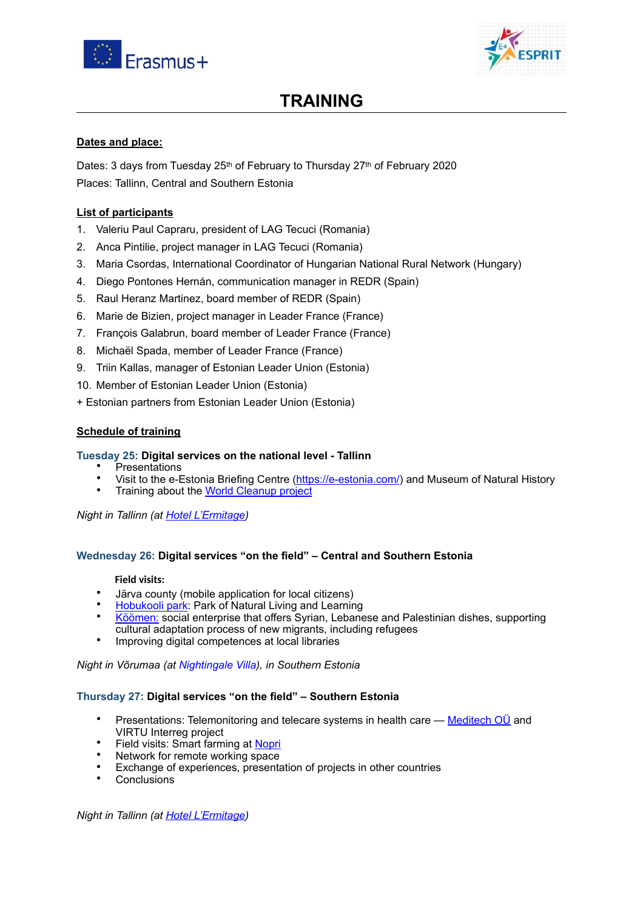



# **TRAINING**

## **Dates and place:**

Dates: 3 days from Tuesday 25<sup>th</sup> of February to Thursday 27<sup>th</sup> of February 2020 Places: Tallinn, Central and Southern Estonia

## **List of participants**

- 1. Valeriu Paul Capraru, president of LAG Tecuci (Romania)
- 2. Anca Pintilie, project manager in LAG Tecuci (Romania)
- 3. Maria Csordas, International Coordinator of Hungarian National Rural Network (Hungary)
- 4. Diego Pontones Hernán, communication manager in REDR (Spain)
- 5. Raul Heranz Martinez, board member of REDR (Spain)
- 6. Marie de Bizien, project manager in Leader France (France)
- 7. François Galabrun, board member of Leader France (France)
- 8. Michaël Spada, member of Leader France (France)
- 9. Triin Kallas, manager of Estonian Leader Union (Estonia)
- 10. Member of Estonian Leader Union (Estonia)
- + Estonian partners from Estonian Leader Union (Estonia)

## **Schedule of training**

## **Tuesday 25: Digital services on the national level - Tallinn**

- **Presentations**
- Visit to the e-Estonia Briefing Centre [\(https://e-estonia.com/\)](https://e-estonia.com/) and Museum of Natural History
- Training about the [World Cleanup project](https://www.letsdoitworld.org/programs-keep-it-clean/capacity-building-leadership-program/)

*Night in Tallinn (at [Hotel L'Ermitage\)](https://lermitagehotel.ee)* 

## **Wednesday 26: Digital services "on the field" – Central and Southern Estonia**

### **Field visits:**

- Järva county (mobile application for local citizens)
- [Hobukooli park:](https://hobukoolipark.ee) Park of Natural Living and Learning
- [Köömen:](http://koomen.ee) social enterprise that offers Syrian, Lebanese and Palestinian dishes, supporting cultural adaptation process of new migrants, including refugees
- Improving digital competences at local libraries

*Night in Võrumaa (at Nightingale Villa), in Southern Estonia* 

## **Thursday 27: Digital services "on the field" – Southern Estonia**

- Presentations: Telemonitoring and telecare systems in health care — [Meditech OÜ](http://medi.ee) and VIRTU Interreg project
- Field visits: Smart farming at [Nopri](http://www.nopri.ee)
- Network for remote working space
- Exchange of experiences, presentation of projects in other countries<br>• Conclusions
- **Conclusions**

*Night in Tallinn (at [Hotel L'Ermitage\)](https://lermitagehotel.ee)*